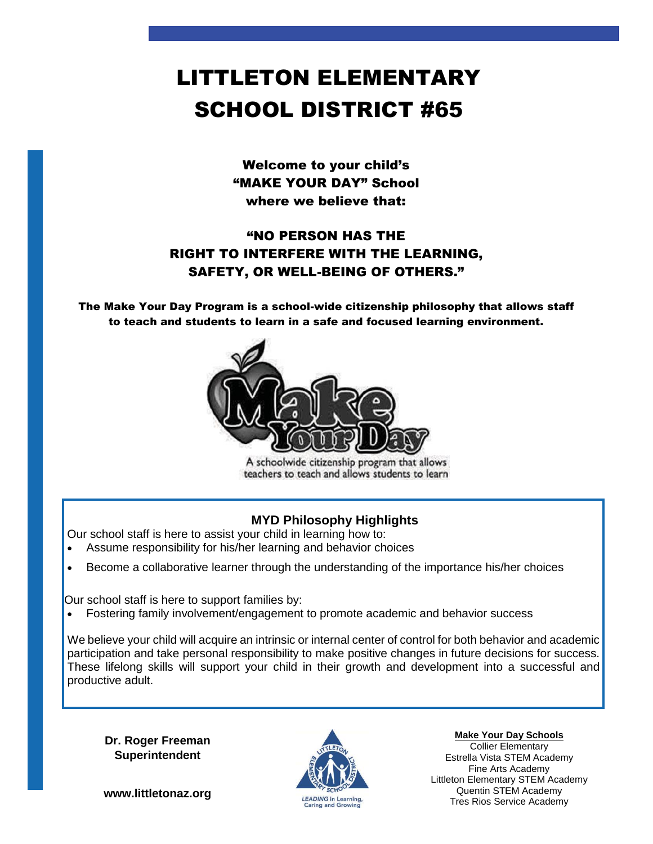# LITTLETON ELEMENTARY SCHOOL DISTRICT #65

Welcome to your child's "MAKE YOUR DAY" School where we believe that:

## "NO PERSON HAS THE RIGHT TO INTERFERE WITH THE LEARNING, SAFETY, OR WELL-BEING OF OTHERS."

The Make Your Day Program is a school-wide citizenship philosophy that allows staff to teach and students to learn in a safe and focused learning environment.



A schoolwide citizenship program that allows teachers to teach and allows students to learn

### **MYD Philosophy Highlights**

Our school staff is here to assist your child in learning how to:

- Assume responsibility for his/her learning and behavior choices
- Become a collaborative learner through the understanding of the importance his/her choices

Our school staff is here to support families by:

Fostering family involvement/engagement to promote academic and behavior success

We believe your child will acquire an intrinsic or internal center of control for both behavior and academic participation and take personal responsibility to make positive changes in future decisions for success. These lifelong skills will support your child in their growth and development into a successful and productive adult.

**Dr. Roger Freeman Superintendent**

**www.littletonaz.org**



**Make Your Day Schools**

Collier Elementary Estrella Vista STEM Academy Fine Arts Academy Littleton Elementary STEM Academy Quentin STEM Academy Tres Rios Service Academy